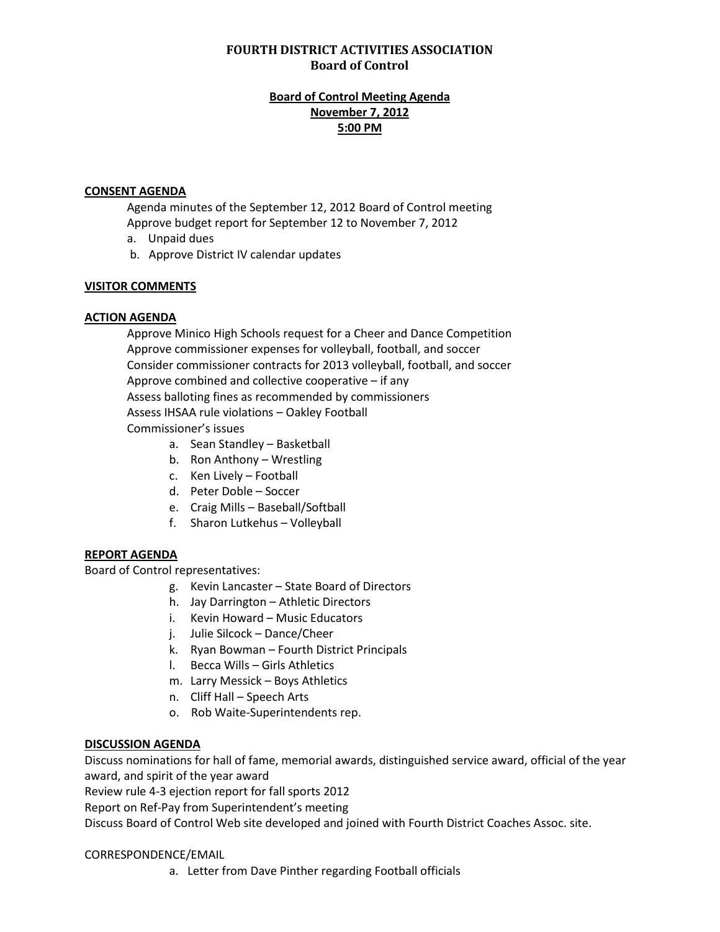# **FOURTH DISTRICT ACTIVITIES ASSOCIATION Board of Control**

# **Board of Control Meeting Agenda November 7, 2012 5:00 PM**

#### **CONSENT AGENDA**

Agenda minutes of the September 12, 2012 Board of Control meeting Approve budget report for September 12 to November 7, 2012

- a. Unpaid dues
- b. Approve District IV calendar updates

#### **VISITOR COMMENTS**

#### **ACTION AGENDA**

Approve Minico High Schools request for a Cheer and Dance Competition Approve commissioner expenses for volleyball, football, and soccer Consider commissioner contracts for 2013 volleyball, football, and soccer Approve combined and collective cooperative – if any Assess balloting fines as recommended by commissioners Assess IHSAA rule violations – Oakley Football Commissioner's issues

- a. Sean Standley Basketball
- b. Ron Anthony Wrestling
- c. Ken Lively Football
- d. Peter Doble Soccer
- e. Craig Mills Baseball/Softball
- f. Sharon Lutkehus Volleyball

## **REPORT AGENDA**

Board of Control representatives:

- g. Kevin Lancaster State Board of Directors
- h. Jay Darrington Athletic Directors
- i. Kevin Howard Music Educators
- j. Julie Silcock Dance/Cheer
- k. Ryan Bowman Fourth District Principals
- l. Becca Wills Girls Athletics
- m. Larry Messick Boys Athletics
- n. Cliff Hall Speech Arts
- o. Rob Waite-Superintendents rep.

## **DISCUSSION AGENDA**

Discuss nominations for hall of fame, memorial awards, distinguished service award, official of the year award, and spirit of the year award

Review rule 4-3 ejection report for fall sports 2012

Report on Ref-Pay from Superintendent's meeting

Discuss Board of Control Web site developed and joined with Fourth District Coaches Assoc. site.

## CORRESPONDENCE/EMAIL

a. Letter from Dave Pinther regarding Football officials